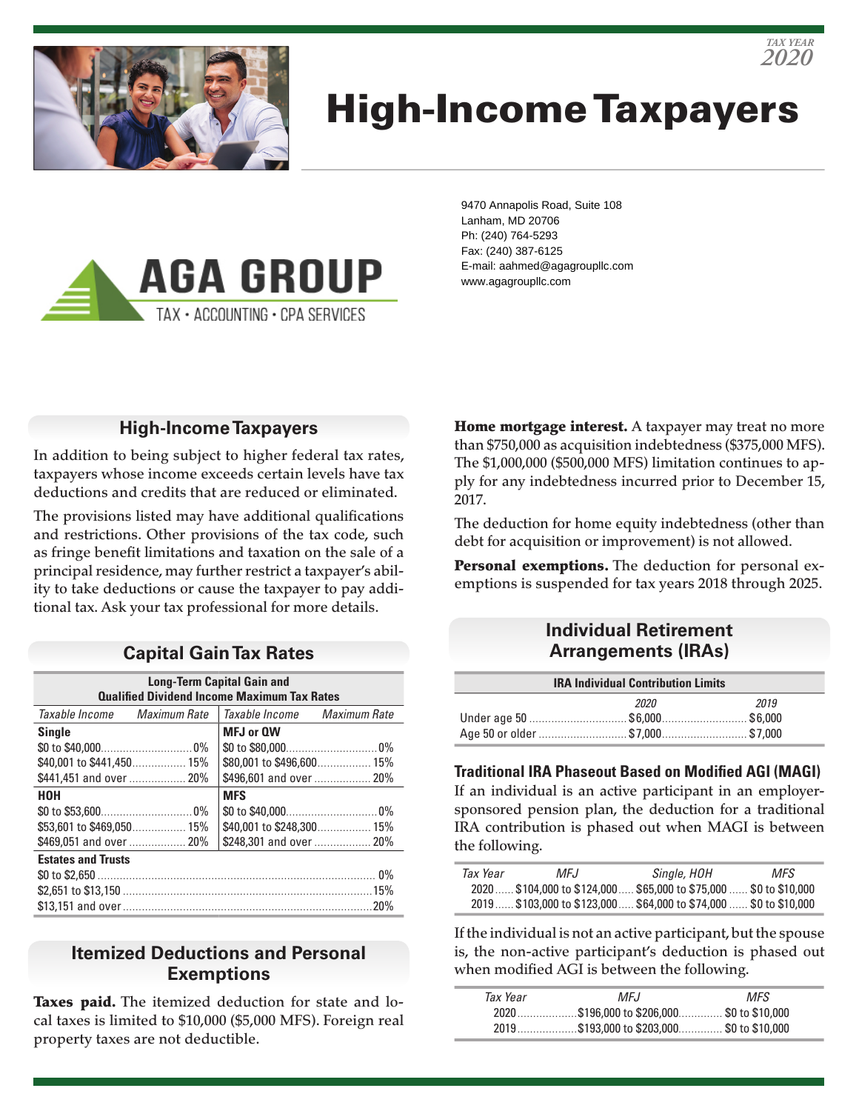

# High-Income Taxpayers



9470 Annapolis Road, Suite 108 Lanham, MD 20706 Ph: (240) 764-5293 Fax: (240) 387-6125 E-mail: aahmed@agagroupllc.com www.agagroupllc.com

### **High-Income Taxpayers**

In addition to being subject to higher federal tax rates, taxpayers whose income exceeds certain levels have tax deductions and credits that are reduced or eliminated.

The provisions listed may have additional qualifications and restrictions. Other provisions of the tax code, such as fringe benefit limitations and taxation on the sale of a principal residence, may further restrict a taxpayer's ability to take deductions or cause the taxpayer to pay additional tax. Ask your tax professional for more details.

#### **Capital Gain Tax Rates**

| <b>Long-Term Capital Gain and</b>                  |                             |  |  |  |
|----------------------------------------------------|-----------------------------|--|--|--|
| <b>Qualified Dividend Income Maximum Tax Rates</b> |                             |  |  |  |
| Taxable Income Maximum Rate                        | Taxable Income Maximum Rate |  |  |  |
| <b>Single</b>                                      | MFJ or QW                   |  |  |  |
|                                                    |                             |  |  |  |
|                                                    | \$80,001 to \$496,600 15%   |  |  |  |
| \$441,451 and over  20%                            | \$496,601 and over  20%     |  |  |  |
| нон                                                | <b>MFS</b>                  |  |  |  |
|                                                    |                             |  |  |  |
|                                                    | \$40,001 to \$248,300 15%   |  |  |  |
|                                                    | \$248,301 and over  20%     |  |  |  |
| <b>Estates and Trusts</b>                          |                             |  |  |  |
|                                                    |                             |  |  |  |
|                                                    |                             |  |  |  |
|                                                    |                             |  |  |  |

#### **Itemized Deductions and Personal Exemptions**

Taxes paid. The itemized deduction for state and local taxes is limited to \$10,000 (\$5,000 MFS). Foreign real property taxes are not deductible.

Home mortgage interest. A taxpayer may treat no more than \$750,000 as acquisition indebtedness (\$375,000 MFS). The \$1,000,000 (\$500,000 MFS) limitation continues to apply for any indebtedness incurred prior to December 15, 2017.

The deduction for home equity indebtedness (other than debt for acquisition or improvement) is not allowed.

Personal exemptions. The deduction for personal exemptions is suspended for tax years 2018 through 2025.

#### **Individual Retirement Arrangements (IRAs)**

| <b>IRA Individual Contribution Limits</b> |      |      |  |
|-------------------------------------------|------|------|--|
|                                           | 2020 | 2019 |  |
|                                           |      |      |  |
|                                           |      |      |  |

#### **Traditional IRA Phaseout Based on Modified AGI (MAGI)**

If an individual is an active participant in an employersponsored pension plan, the deduction for a traditional IRA contribution is phased out when MAGI is between the following.

| Tax Year | MFJ. | Single, HOH                                                    | MFS |
|----------|------|----------------------------------------------------------------|-----|
|          |      | 2020\$104,000 to \$124,000\$65,000 to \$75,000 \$0 to \$10,000 |     |
|          |      | 2019\$103,000 to \$123,000\$64,000 to \$74,000 \$0 to \$10,000 |     |

If the individual is not an active participant, but the spouse is, the non-active participant's deduction is phased out when modified AGI is between the following.

| Tax Year | MFJ                                        | MFS. |  |
|----------|--------------------------------------------|------|--|
|          | 2020\$196.000 to \$206.000 \$0 to \$10.000 |      |  |
|          | 2019\$193,000 to \$203,000 \$0 to \$10,000 |      |  |